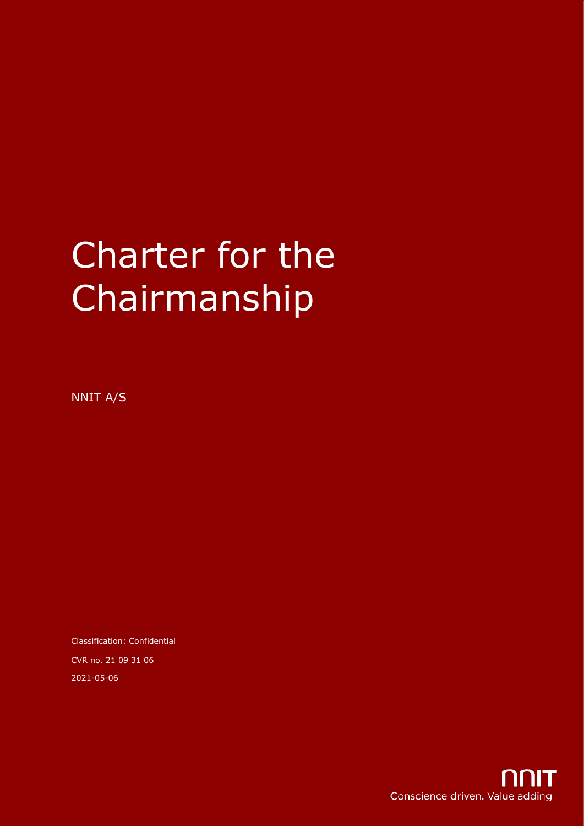# Charter for the Chairmanship

NNIT A/S

Classification: Confidential CVR no. 21 09 31 06 2021-05-06

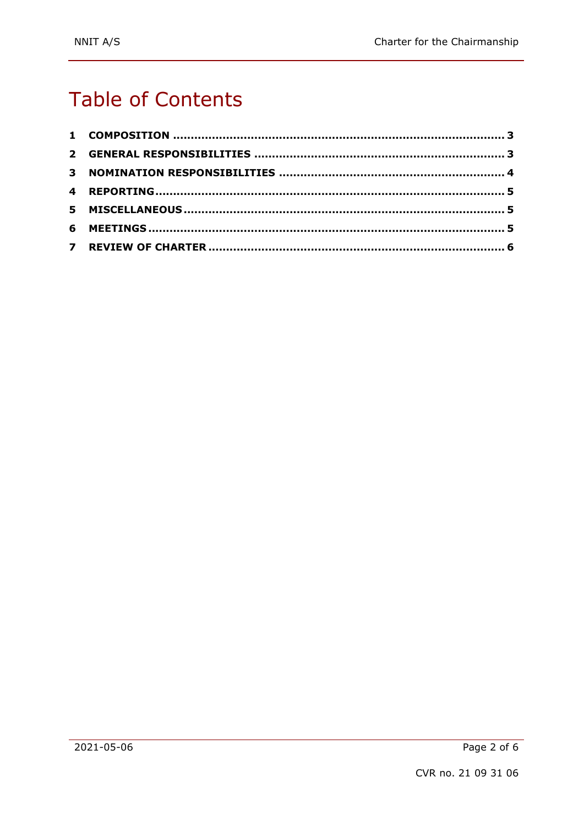## **Table of Contents**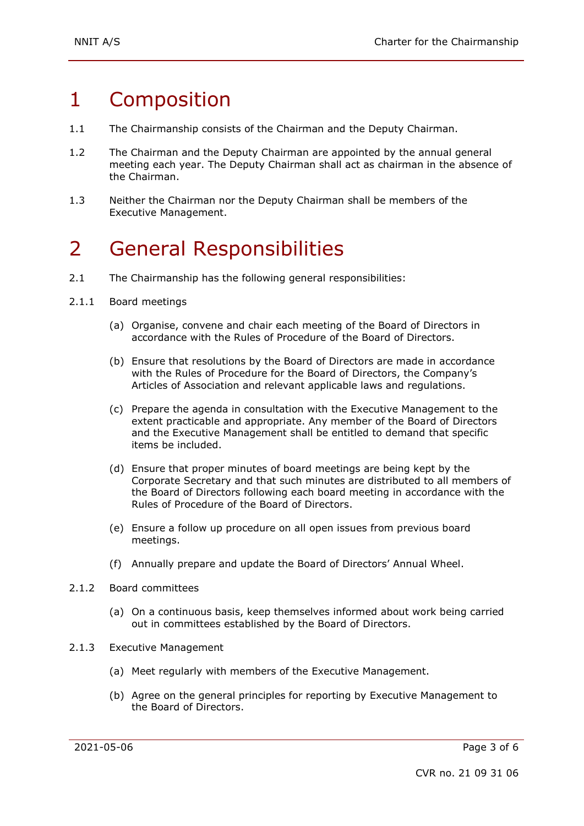### 1 Composition

- 1.1 The Chairmanship consists of the Chairman and the Deputy Chairman.
- 1.2 The Chairman and the Deputy Chairman are appointed by the annual general meeting each year. The Deputy Chairman shall act as chairman in the absence of the Chairman.
- 1.3 Neither the Chairman nor the Deputy Chairman shall be members of the Executive Management.

#### 2 General Responsibilities

- 2.1 The Chairmanship has the following general responsibilities:
- 2.1.1 Board meetings
	- (a) Organise, convene and chair each meeting of the Board of Directors in accordance with the Rules of Procedure of the Board of Directors.
	- (b) Ensure that resolutions by the Board of Directors are made in accordance with the Rules of Procedure for the Board of Directors, the Company's Articles of Association and relevant applicable laws and regulations.
	- (c) Prepare the agenda in consultation with the Executive Management to the extent practicable and appropriate. Any member of the Board of Directors and the Executive Management shall be entitled to demand that specific items be included.
	- (d) Ensure that proper minutes of board meetings are being kept by the Corporate Secretary and that such minutes are distributed to all members of the Board of Directors following each board meeting in accordance with the Rules of Procedure of the Board of Directors.
	- (e) Ensure a follow up procedure on all open issues from previous board meetings.
	- (f) Annually prepare and update the Board of Directors' Annual Wheel.
- 2.1.2 Board committees
	- (a) On a continuous basis, keep themselves informed about work being carried out in committees established by the Board of Directors.
- 2.1.3 Executive Management
	- (a) Meet regularly with members of the Executive Management.
	- (b) Agree on the general principles for reporting by Executive Management to the Board of Directors.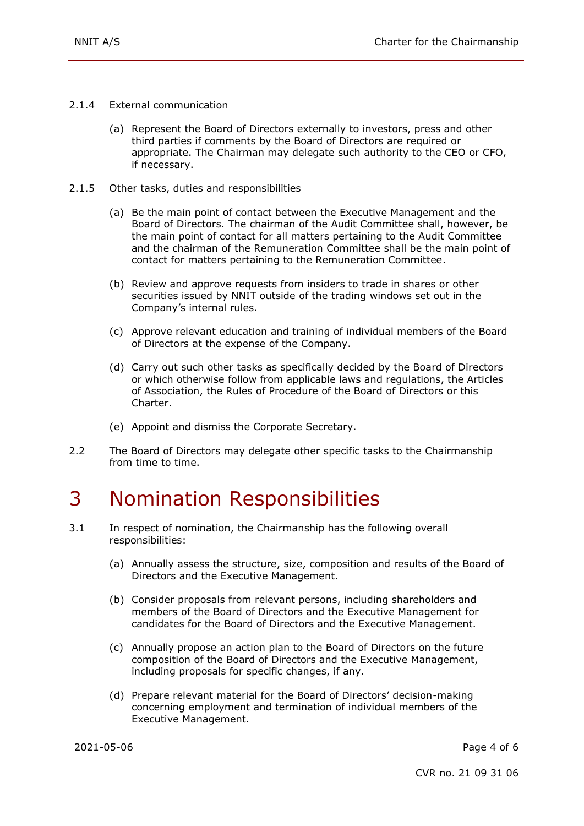- 2.1.4 External communication
	- (a) Represent the Board of Directors externally to investors, press and other third parties if comments by the Board of Directors are required or appropriate. The Chairman may delegate such authority to the CEO or CFO, if necessary.
- 2.1.5 Other tasks, duties and responsibilities
	- (a) Be the main point of contact between the Executive Management and the Board of Directors. The chairman of the Audit Committee shall, however, be the main point of contact for all matters pertaining to the Audit Committee and the chairman of the Remuneration Committee shall be the main point of contact for matters pertaining to the Remuneration Committee.
	- (b) Review and approve requests from insiders to trade in shares or other securities issued by NNIT outside of the trading windows set out in the Company's internal rules.
	- (c) Approve relevant education and training of individual members of the Board of Directors at the expense of the Company.
	- (d) Carry out such other tasks as specifically decided by the Board of Directors or which otherwise follow from applicable laws and regulations, the Articles of Association, the Rules of Procedure of the Board of Directors or this Charter.
	- (e) Appoint and dismiss the Corporate Secretary.
- 2.2 The Board of Directors may delegate other specific tasks to the Chairmanship from time to time.

#### 3 Nomination Responsibilities

- 3.1 In respect of nomination, the Chairmanship has the following overall responsibilities:
	- (a) Annually assess the structure, size, composition and results of the Board of Directors and the Executive Management.
	- (b) Consider proposals from relevant persons, including shareholders and members of the Board of Directors and the Executive Management for candidates for the Board of Directors and the Executive Management.
	- (c) Annually propose an action plan to the Board of Directors on the future composition of the Board of Directors and the Executive Management, including proposals for specific changes, if any.
	- (d) Prepare relevant material for the Board of Directors' decision-making concerning employment and termination of individual members of the Executive Management.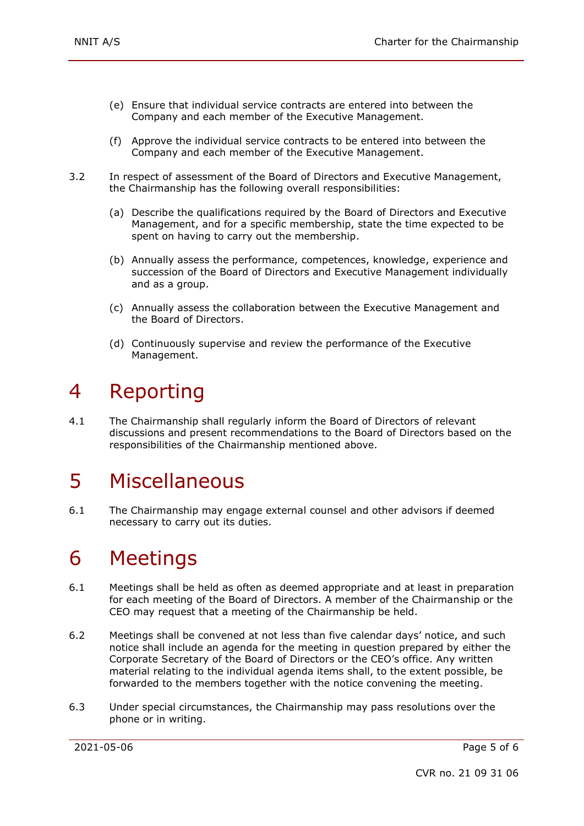- (e) Ensure that individual service contracts are entered into between the Company and each member of the Executive Management.
- (f) Approve the individual service contracts to be entered into between the Company and each member of the Executive Management.
- 3.2 In respect of assessment of the Board of Directors and Executive Management, the Chairmanship has the following overall responsibilities:
	- (a) Describe the qualifications required by the Board of Directors and Executive Management, and for a specific membership, state the time expected to be spent on having to carry out the membership.
	- (b) Annually assess the performance, competences, knowledge, experience and succession of the Board of Directors and Executive Management individually and as a group.
	- (c) Annually assess the collaboration between the Executive Management and the Board of Directors.
	- (d) Continuously supervise and review the performance of the Executive Management.

#### 4 Reporting

4.1 The Chairmanship shall regularly inform the Board of Directors of relevant discussions and present recommendations to the Board of Directors based on the responsibilities of the Chairmanship mentioned above.

#### 5 Miscellaneous

6.1 The Chairmanship may engage external counsel and other advisors if deemed necessary to carry out its duties.

#### 6 Meetings

- 6.1 Meetings shall be held as often as deemed appropriate and at least in preparation for each meeting of the Board of Directors. A member of the Chairmanship or the CEO may request that a meeting of the Chairmanship be held.
- 6.2 Meetings shall be convened at not less than five calendar days' notice, and such notice shall include an agenda for the meeting in question prepared by either the Corporate Secretary of the Board of Directors or the CEO's office. Any written material relating to the individual agenda items shall, to the extent possible, be forwarded to the members together with the notice convening the meeting.
- 6.3 Under special circumstances, the Chairmanship may pass resolutions over the phone or in writing.